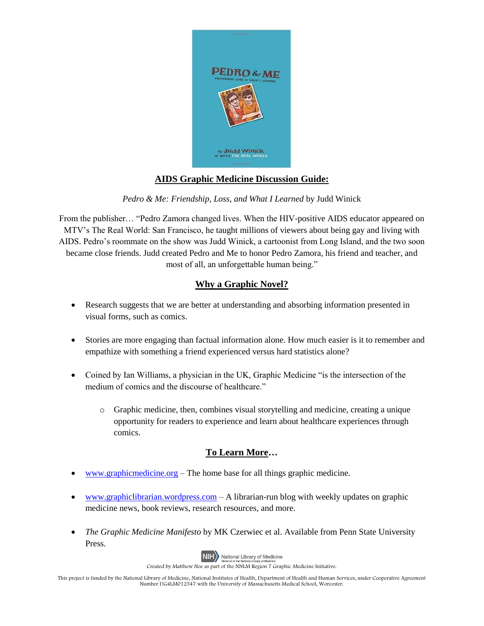

## **AIDS Graphic Medicine Discussion Guide:**

*Pedro & Me: Friendship, Loss, and What I Learned* by Judd Winick

From the publisher… "Pedro Zamora changed lives. When the HIV-positive AIDS educator appeared on MTV's The Real World: San Francisco, he taught millions of viewers about being gay and living with AIDS. Pedro's roommate on the show was Judd Winick, a cartoonist from Long Island, and the two soon became close friends. Judd created Pedro and Me to honor Pedro Zamora, his friend and teacher, and most of all, an unforgettable human being."

## **Why a Graphic Novel?**

- Research suggests that we are better at understanding and absorbing information presented in visual forms, such as comics.
- Stories are more engaging than factual information alone. How much easier is it to remember and empathize with something a friend experienced versus hard statistics alone?
- Coined by Ian Williams, a physician in the UK, Graphic Medicine "is the intersection of the medium of comics and the discourse of healthcare."
	- $\circ$  Graphic medicine, then, combines visual storytelling and medicine, creating a unique opportunity for readers to experience and learn about healthcare experiences through comics.

## **To Learn More…**

- [www.graphicmedicine.org](http://www.graphicmedicine.org/) The home base for all things graphic medicine.
- [www.graphiclibrarian.wordpress.com](http://www.graphiclibrarian.wordpress.com/) A librarian-run blog with weekly updates on graphic medicine news, book reviews, research resources, and more.
- *The Graphic Medicine Manifesto* by MK Czerwiec et al. Available from Penn State University Press.



Created by Matthew Noe as part of the NNLM Region 7 Graphic Medicine Initiative.

This project is funded by the National Library of Medicine, National Institutes of Health, Department of Health and Human Services, under Cooperative Agreement Number UG4LM012347 with the University of Massachusetts Medical School, Worcester.